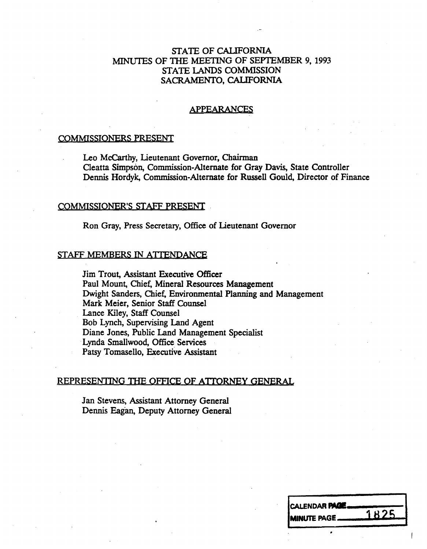# STATE OF CALIFORNIA MINUTES OF THE MEETING OF SEPTEMBER 9, 1993<br>STATE LANDS COMMISSION STATE LANDS COMMISSION SACRAMENTO, CALIFORNIA

### APPEARANCES

## COMMISSIONERS PRESENT

Leo McCarthy, Lieutenant Governor, Chairman<br>Cleatta Simpson, Commission-Alternate for Gray Davis, State Controller Cleatta Simpson, Commission-Alternate for Gray Davis, State Controller Dennis Hordyk, Commission-Alternate for Russell Gould, Director of Finance

#### COMMISSIONER'S STAFF PRESENT

Ron Gray, Press Secretary, Office of Lieutenant Governor

#### STAFF MEMBERS IN ATTENDANCE

Jim Trout, Assistant Executive Officer Paul Mount, Chief, Mineral Resources Management Dwight Sanders, Chief, Environmental Planning and Management Mark Meier, Senior Staff Counsel Lance Kiley, Staff Counsel Bob Lynch, Supervising Land Agent Diane Jones, Public Land Management Specialist Lynda Smallwood, Office Services Patsy Tomasello, Executive Assistant

### REPRESENTING THE OFFICE OF ATTORNEY GENERAL

Jan Stevens, Assistant Attorney General Dennis Eagan, Deputy Attorney General

| <b>CALENDAR PAGE.</b> |      |
|-----------------------|------|
| <b>IMINUTE PAGE_</b>  | 1825 |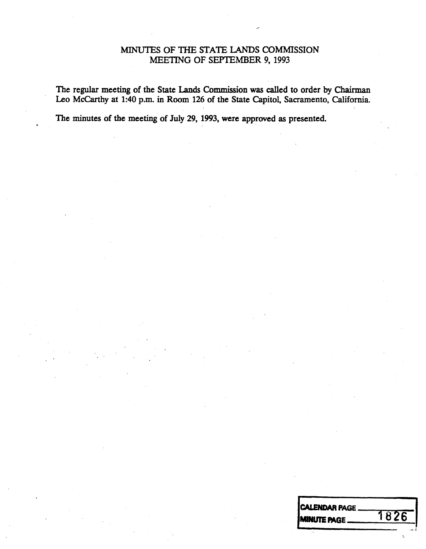# MINUTES OF THE STATE LANDS COMMISSION MEETING OF SEPTEMBER 9, 1993

The regular meeting of the State Lands Commission was called to order by Chairman Leo Mccarthy at 1:40 p.m. in Room 126 of the State Capitol, Sacramento, California.

The minutes of the meeting of July 29, 1993, were approved as presented.

CALENDAR PAGE MINUTE PAGE 1826